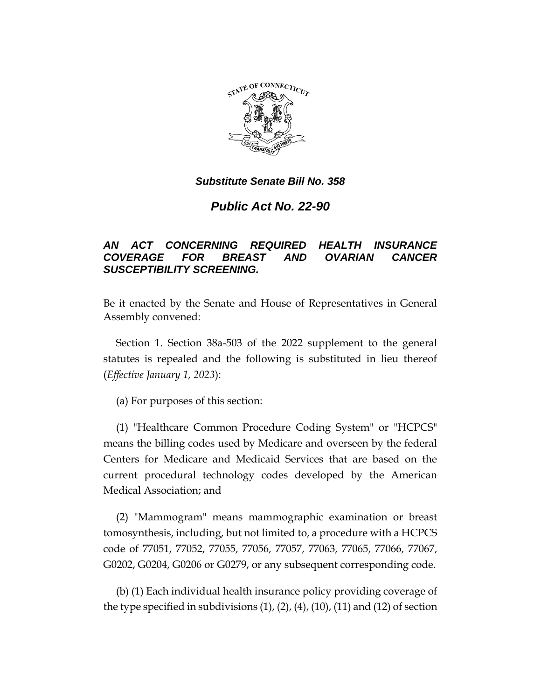

*Public Act No. 22-90*

## *AN ACT CONCERNING REQUIRED HEALTH INSURANCE COVERAGE FOR BREAST AND OVARIAN CANCER SUSCEPTIBILITY SCREENING.*

Be it enacted by the Senate and House of Representatives in General Assembly convened:

Section 1. Section 38a-503 of the 2022 supplement to the general statutes is repealed and the following is substituted in lieu thereof (*Effective January 1, 2023*):

(a) For purposes of this section:

(1) "Healthcare Common Procedure Coding System" or "HCPCS" means the billing codes used by Medicare and overseen by the federal Centers for Medicare and Medicaid Services that are based on the current procedural technology codes developed by the American Medical Association; and

(2) "Mammogram" means mammographic examination or breast tomosynthesis, including, but not limited to, a procedure with a HCPCS code of 77051, 77052, 77055, 77056, 77057, 77063, 77065, 77066, 77067, G0202, G0204, G0206 or G0279, or any subsequent corresponding code.

(b) (1) Each individual health insurance policy providing coverage of the type specified in subdivisions  $(1)$ ,  $(2)$ ,  $(4)$ ,  $(10)$ ,  $(11)$  and  $(12)$  of section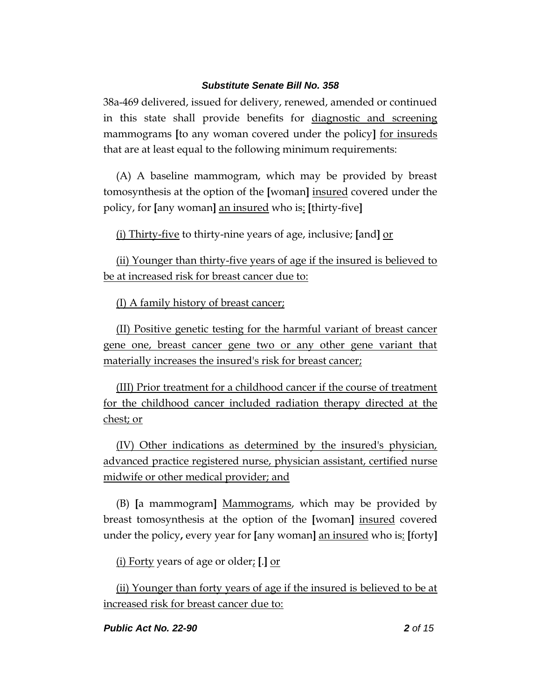38a-469 delivered, issued for delivery, renewed, amended or continued in this state shall provide benefits for diagnostic and screening mammograms **[**to any woman covered under the policy**]** for insureds that are at least equal to the following minimum requirements:

(A) A baseline mammogram, which may be provided by breast tomosynthesis at the option of the **[**woman**]** insured covered under the policy, for **[**any woman**]** an insured who is: **[**thirty-five**]**

(i) Thirty-five to thirty-nine years of age, inclusive; **[**and**]** or

(ii) Younger than thirty-five years of age if the insured is believed to be at increased risk for breast cancer due to:

(I) A family history of breast cancer;

(II) Positive genetic testing for the harmful variant of breast cancer gene one, breast cancer gene two or any other gene variant that materially increases the insured's risk for breast cancer;

(III) Prior treatment for a childhood cancer if the course of treatment for the childhood cancer included radiation therapy directed at the chest; or

(IV) Other indications as determined by the insured's physician, advanced practice registered nurse, physician assistant, certified nurse midwife or other medical provider; and

(B) **[**a mammogram**]** Mammograms, which may be provided by breast tomosynthesis at the option of the **[**woman**]** insured covered under the policy**,** every year for **[**any woman**]** an insured who is: **[**forty**]**

(i) Forty years of age or older; **[**.**]** or

(ii) Younger than forty years of age if the insured is believed to be at increased risk for breast cancer due to: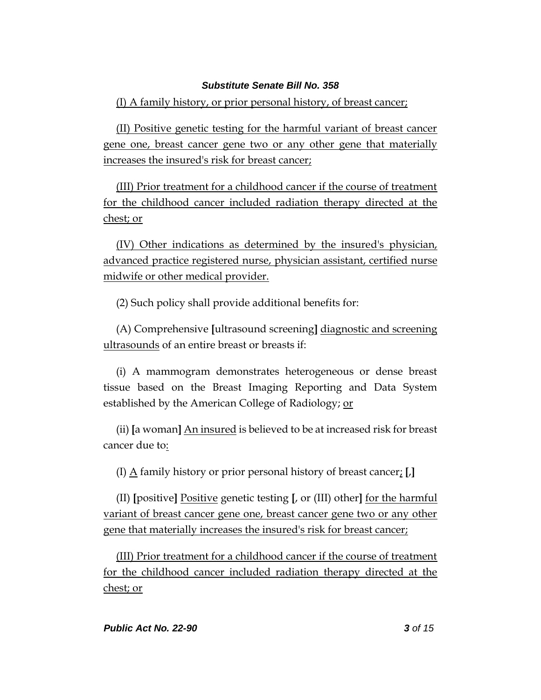(I) A family history, or prior personal history, of breast cancer;

(II) Positive genetic testing for the harmful variant of breast cancer gene one, breast cancer gene two or any other gene that materially increases the insured's risk for breast cancer;

(III) Prior treatment for a childhood cancer if the course of treatment for the childhood cancer included radiation therapy directed at the chest; or

(IV) Other indications as determined by the insured's physician, advanced practice registered nurse, physician assistant, certified nurse midwife or other medical provider.

(2) Such policy shall provide additional benefits for:

(A) Comprehensive **[**ultrasound screening**]** diagnostic and screening ultrasounds of an entire breast or breasts if:

(i) A mammogram demonstrates heterogeneous or dense breast tissue based on the Breast Imaging Reporting and Data System established by the American College of Radiology; or

(ii) **[**a woman**]** An insured is believed to be at increased risk for breast cancer due to:

(I) A family history or prior personal history of breast cancer; **[**,**]**

(II) **[**positive**]** Positive genetic testing **[**, or (III) other**]** for the harmful variant of breast cancer gene one, breast cancer gene two or any other gene that materially increases the insured's risk for breast cancer;

(III) Prior treatment for a childhood cancer if the course of treatment for the childhood cancer included radiation therapy directed at the chest; or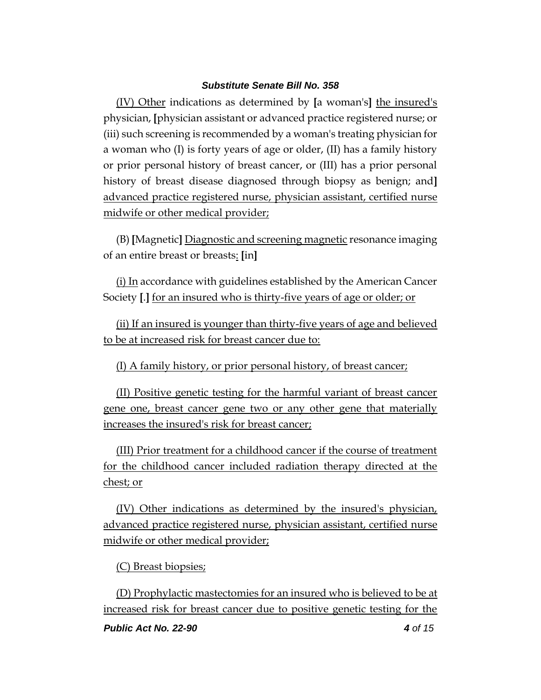(IV) Other indications as determined by **[**a woman's**]** the insured's physician, **[**physician assistant or advanced practice registered nurse; or (iii) such screening is recommended by a woman's treating physician for a woman who (I) is forty years of age or older, (II) has a family history or prior personal history of breast cancer, or (III) has a prior personal history of breast disease diagnosed through biopsy as benign; and**]**  advanced practice registered nurse, physician assistant, certified nurse midwife or other medical provider;

(B) **[**Magnetic**]** Diagnostic and screening magnetic resonance imaging of an entire breast or breasts: **[**in**]** 

(i) In accordance with guidelines established by the American Cancer Society **[**.**]** for an insured who is thirty-five years of age or older; or

(ii) If an insured is younger than thirty-five years of age and believed to be at increased risk for breast cancer due to:

(I) A family history, or prior personal history, of breast cancer;

(II) Positive genetic testing for the harmful variant of breast cancer gene one, breast cancer gene two or any other gene that materially increases the insured's risk for breast cancer;

(III) Prior treatment for a childhood cancer if the course of treatment for the childhood cancer included radiation therapy directed at the chest; or

(IV) Other indications as determined by the insured's physician, advanced practice registered nurse, physician assistant, certified nurse midwife or other medical provider;

(C) Breast biopsies;

(D) Prophylactic mastectomies for an insured who is believed to be at increased risk for breast cancer due to positive genetic testing for the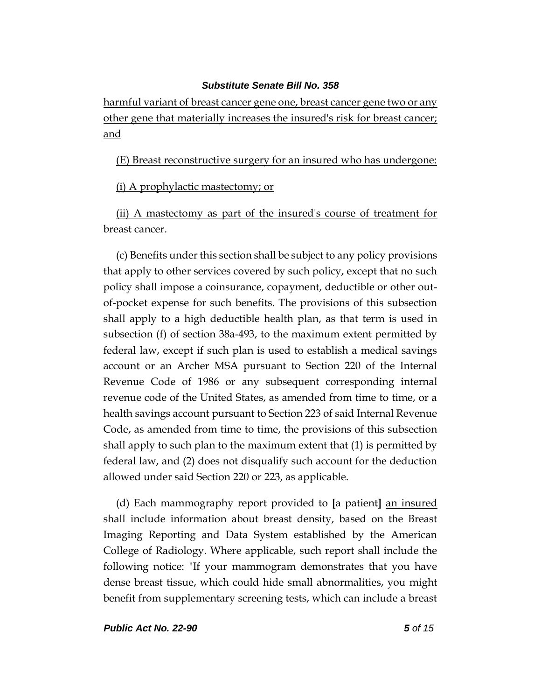harmful variant of breast cancer gene one, breast cancer gene two or any other gene that materially increases the insured's risk for breast cancer; and

(E) Breast reconstructive surgery for an insured who has undergone:

(i) A prophylactic mastectomy; or

(ii) A mastectomy as part of the insured's course of treatment for breast cancer.

(c) Benefits under this section shall be subject to any policy provisions that apply to other services covered by such policy, except that no such policy shall impose a coinsurance, copayment, deductible or other outof-pocket expense for such benefits. The provisions of this subsection shall apply to a high deductible health plan, as that term is used in subsection (f) of section 38a-493, to the maximum extent permitted by federal law, except if such plan is used to establish a medical savings account or an Archer MSA pursuant to Section 220 of the Internal Revenue Code of 1986 or any subsequent corresponding internal revenue code of the United States, as amended from time to time, or a health savings account pursuant to Section 223 of said Internal Revenue Code, as amended from time to time, the provisions of this subsection shall apply to such plan to the maximum extent that (1) is permitted by federal law, and (2) does not disqualify such account for the deduction allowed under said Section 220 or 223, as applicable.

(d) Each mammography report provided to **[**a patient**]** an insured shall include information about breast density, based on the Breast Imaging Reporting and Data System established by the American College of Radiology. Where applicable, such report shall include the following notice: "If your mammogram demonstrates that you have dense breast tissue, which could hide small abnormalities, you might benefit from supplementary screening tests, which can include a breast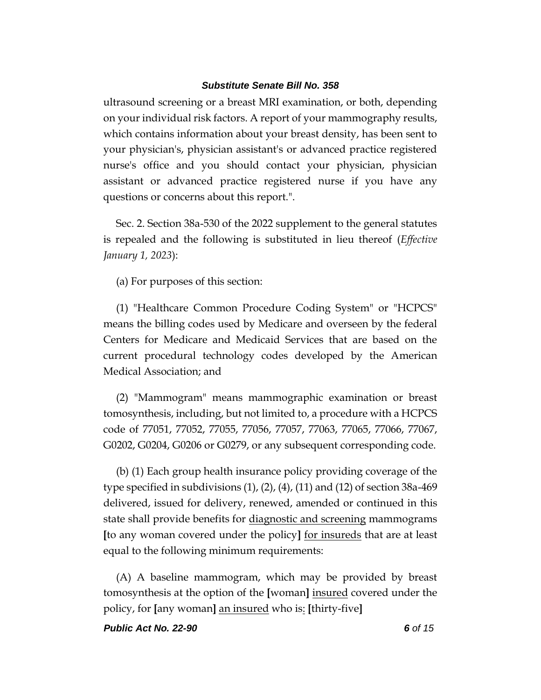ultrasound screening or a breast MRI examination, or both, depending on your individual risk factors. A report of your mammography results, which contains information about your breast density, has been sent to your physician's, physician assistant's or advanced practice registered nurse's office and you should contact your physician, physician assistant or advanced practice registered nurse if you have any questions or concerns about this report.".

Sec. 2. Section 38a-530 of the 2022 supplement to the general statutes is repealed and the following is substituted in lieu thereof (*Effective January 1, 2023*):

(a) For purposes of this section:

(1) "Healthcare Common Procedure Coding System" or "HCPCS" means the billing codes used by Medicare and overseen by the federal Centers for Medicare and Medicaid Services that are based on the current procedural technology codes developed by the American Medical Association; and

(2) "Mammogram" means mammographic examination or breast tomosynthesis, including, but not limited to, a procedure with a HCPCS code of 77051, 77052, 77055, 77056, 77057, 77063, 77065, 77066, 77067, G0202, G0204, G0206 or G0279, or any subsequent corresponding code.

(b) (1) Each group health insurance policy providing coverage of the type specified in subdivisions  $(1)$ ,  $(2)$ ,  $(4)$ ,  $(11)$  and  $(12)$  of section 38a-469 delivered, issued for delivery, renewed, amended or continued in this state shall provide benefits for diagnostic and screening mammograms **[**to any woman covered under the policy**]** for insureds that are at least equal to the following minimum requirements:

(A) A baseline mammogram, which may be provided by breast tomosynthesis at the option of the **[**woman**]** insured covered under the policy, for **[**any woman**]** an insured who is: **[**thirty-five**]**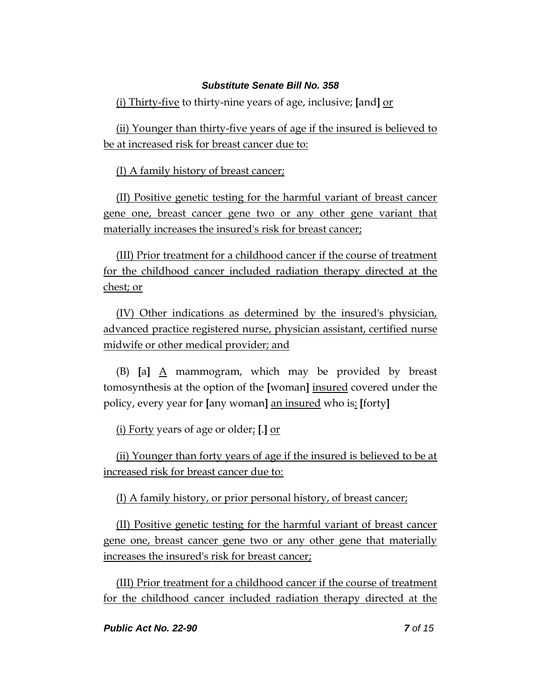(i) Thirty-five to thirty-nine years of age, inclusive; **[**and**]** or

(ii) Younger than thirty-five years of age if the insured is believed to be at increased risk for breast cancer due to:

(I) A family history of breast cancer;

(II) Positive genetic testing for the harmful variant of breast cancer gene one, breast cancer gene two or any other gene variant that materially increases the insured's risk for breast cancer;

(III) Prior treatment for a childhood cancer if the course of treatment for the childhood cancer included radiation therapy directed at the chest; or

(IV) Other indications as determined by the insured's physician, advanced practice registered nurse, physician assistant, certified nurse midwife or other medical provider; and

(B)  $\begin{bmatrix} a \end{bmatrix}$  A mammogram, which may be provided by breast tomosynthesis at the option of the **[**woman**]** insured covered under the policy, every year for **[**any woman**]** an insured who is: **[**forty**]**

(i) Forty years of age or older; **[**.**]** or

(ii) Younger than forty years of age if the insured is believed to be at increased risk for breast cancer due to:

(I) A family history, or prior personal history, of breast cancer;

(II) Positive genetic testing for the harmful variant of breast cancer gene one, breast cancer gene two or any other gene that materially increases the insured's risk for breast cancer;

(III) Prior treatment for a childhood cancer if the course of treatment for the childhood cancer included radiation therapy directed at the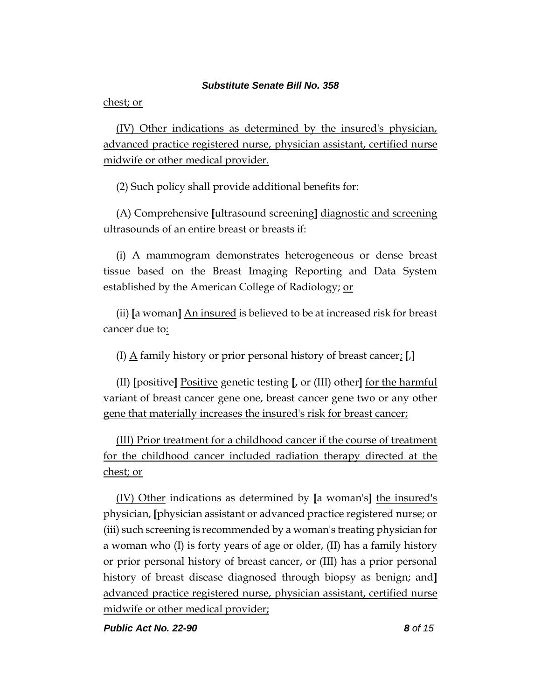chest; or

(IV) Other indications as determined by the insured's physician, advanced practice registered nurse, physician assistant, certified nurse midwife or other medical provider.

(2) Such policy shall provide additional benefits for:

(A) Comprehensive **[**ultrasound screening**]** diagnostic and screening ultrasounds of an entire breast or breasts if:

(i) A mammogram demonstrates heterogeneous or dense breast tissue based on the Breast Imaging Reporting and Data System established by the American College of Radiology; or

(ii) **[**a woman**]** An insured is believed to be at increased risk for breast cancer due to:

(I) A family history or prior personal history of breast cancer; **[**,**]**

(II) **[**positive**]** Positive genetic testing **[**, or (III) other**]** for the harmful variant of breast cancer gene one, breast cancer gene two or any other gene that materially increases the insured's risk for breast cancer;

(III) Prior treatment for a childhood cancer if the course of treatment for the childhood cancer included radiation therapy directed at the chest; or

(IV) Other indications as determined by **[**a woman's**]** the insured's physician, **[**physician assistant or advanced practice registered nurse; or (iii) such screening is recommended by a woman's treating physician for a woman who (I) is forty years of age or older, (II) has a family history or prior personal history of breast cancer, or (III) has a prior personal history of breast disease diagnosed through biopsy as benign; and**]**  advanced practice registered nurse, physician assistant, certified nurse midwife or other medical provider;

*Public Act No. 22-90 8 of 15*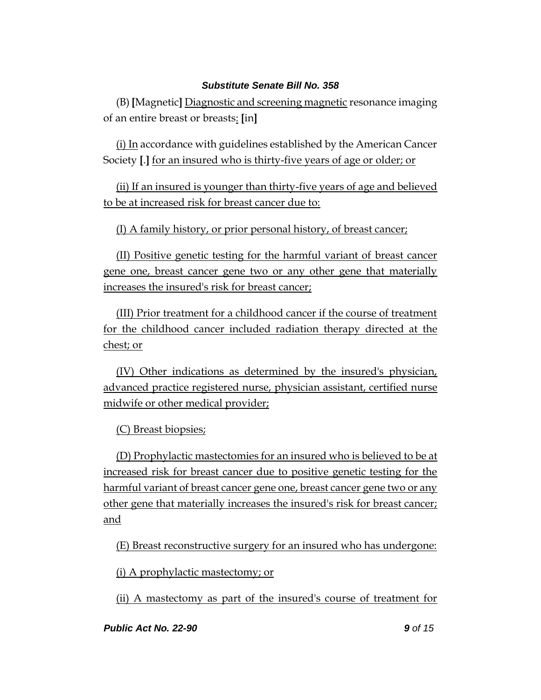(B) **[**Magnetic**]** Diagnostic and screening magnetic resonance imaging of an entire breast or breasts: **[**in**]**

(i) In accordance with guidelines established by the American Cancer Society **[**.**]** for an insured who is thirty-five years of age or older; or

(ii) If an insured is younger than thirty-five years of age and believed to be at increased risk for breast cancer due to:

(I) A family history, or prior personal history, of breast cancer;

(II) Positive genetic testing for the harmful variant of breast cancer gene one, breast cancer gene two or any other gene that materially increases the insured's risk for breast cancer;

(III) Prior treatment for a childhood cancer if the course of treatment for the childhood cancer included radiation therapy directed at the chest; or

(IV) Other indications as determined by the insured's physician, advanced practice registered nurse, physician assistant, certified nurse midwife or other medical provider;

(C) Breast biopsies;

(D) Prophylactic mastectomies for an insured who is believed to be at increased risk for breast cancer due to positive genetic testing for the harmful variant of breast cancer gene one, breast cancer gene two or any other gene that materially increases the insured's risk for breast cancer; and

(E) Breast reconstructive surgery for an insured who has undergone:

(i) A prophylactic mastectomy; or

(ii) A mastectomy as part of the insured's course of treatment for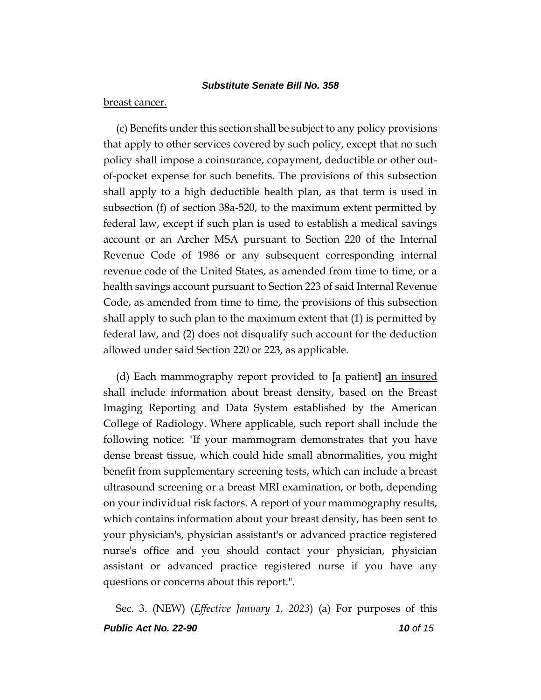#### breast cancer.

(c) Benefits under this section shall be subject to any policy provisions that apply to other services covered by such policy, except that no such policy shall impose a coinsurance, copayment, deductible or other outof-pocket expense for such benefits. The provisions of this subsection shall apply to a high deductible health plan, as that term is used in subsection (f) of section 38a-520, to the maximum extent permitted by federal law, except if such plan is used to establish a medical savings account or an Archer MSA pursuant to Section 220 of the Internal Revenue Code of 1986 or any subsequent corresponding internal revenue code of the United States, as amended from time to time, or a health savings account pursuant to Section 223 of said Internal Revenue Code, as amended from time to time, the provisions of this subsection shall apply to such plan to the maximum extent that (1) is permitted by federal law, and (2) does not disqualify such account for the deduction allowed under said Section 220 or 223, as applicable.

(d) Each mammography report provided to **[**a patient**]** an insured shall include information about breast density, based on the Breast Imaging Reporting and Data System established by the American College of Radiology. Where applicable, such report shall include the following notice: "If your mammogram demonstrates that you have dense breast tissue, which could hide small abnormalities, you might benefit from supplementary screening tests, which can include a breast ultrasound screening or a breast MRI examination, or both, depending on your individual risk factors. A report of your mammography results, which contains information about your breast density, has been sent to your physician's, physician assistant's or advanced practice registered nurse's office and you should contact your physician, physician assistant or advanced practice registered nurse if you have any questions or concerns about this report.".

*Public Act No. 22-90 10 of 15* Sec. 3. (NEW) (*Effective January 1, 2023*) (a) For purposes of this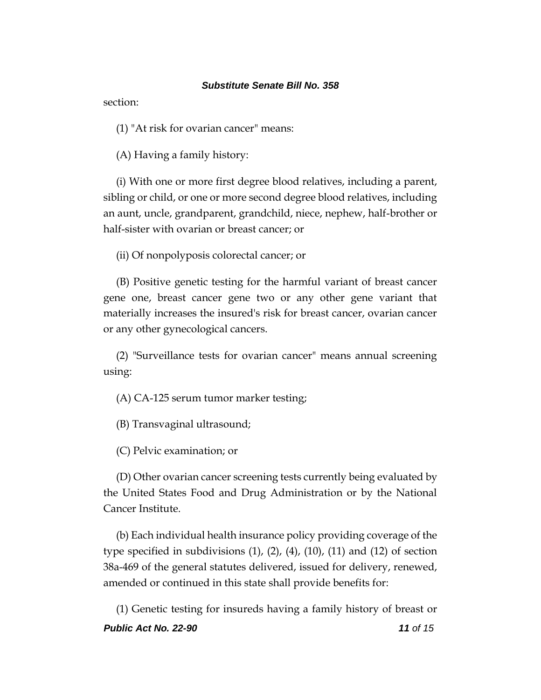section:

(1) "At risk for ovarian cancer" means:

(A) Having a family history:

(i) With one or more first degree blood relatives, including a parent, sibling or child, or one or more second degree blood relatives, including an aunt, uncle, grandparent, grandchild, niece, nephew, half-brother or half-sister with ovarian or breast cancer; or

(ii) Of nonpolyposis colorectal cancer; or

(B) Positive genetic testing for the harmful variant of breast cancer gene one, breast cancer gene two or any other gene variant that materially increases the insured's risk for breast cancer, ovarian cancer or any other gynecological cancers.

(2) "Surveillance tests for ovarian cancer" means annual screening using:

(A) CA-125 serum tumor marker testing;

(B) Transvaginal ultrasound;

(C) Pelvic examination; or

(D) Other ovarian cancer screening tests currently being evaluated by the United States Food and Drug Administration or by the National Cancer Institute.

(b) Each individual health insurance policy providing coverage of the type specified in subdivisions  $(1)$ ,  $(2)$ ,  $(4)$ ,  $(10)$ ,  $(11)$  and  $(12)$  of section 38a-469 of the general statutes delivered, issued for delivery, renewed, amended or continued in this state shall provide benefits for:

*Public Act No. 22-90 11 of 15* (1) Genetic testing for insureds having a family history of breast or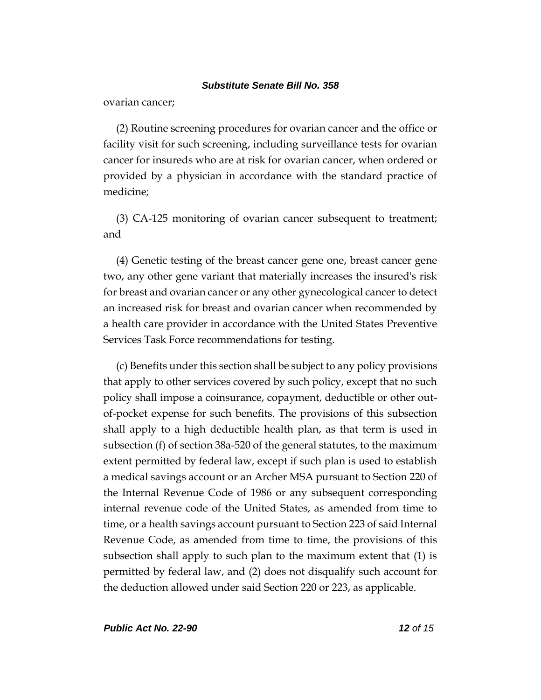ovarian cancer;

(2) Routine screening procedures for ovarian cancer and the office or facility visit for such screening, including surveillance tests for ovarian cancer for insureds who are at risk for ovarian cancer, when ordered or provided by a physician in accordance with the standard practice of medicine;

(3) CA-125 monitoring of ovarian cancer subsequent to treatment; and

(4) Genetic testing of the breast cancer gene one, breast cancer gene two, any other gene variant that materially increases the insured's risk for breast and ovarian cancer or any other gynecological cancer to detect an increased risk for breast and ovarian cancer when recommended by a health care provider in accordance with the United States Preventive Services Task Force recommendations for testing.

(c) Benefits under this section shall be subject to any policy provisions that apply to other services covered by such policy, except that no such policy shall impose a coinsurance, copayment, deductible or other outof-pocket expense for such benefits. The provisions of this subsection shall apply to a high deductible health plan, as that term is used in subsection (f) of section 38a-520 of the general statutes, to the maximum extent permitted by federal law, except if such plan is used to establish a medical savings account or an Archer MSA pursuant to Section 220 of the Internal Revenue Code of 1986 or any subsequent corresponding internal revenue code of the United States, as amended from time to time, or a health savings account pursuant to Section 223 of said Internal Revenue Code, as amended from time to time, the provisions of this subsection shall apply to such plan to the maximum extent that (1) is permitted by federal law, and (2) does not disqualify such account for the deduction allowed under said Section 220 or 223, as applicable.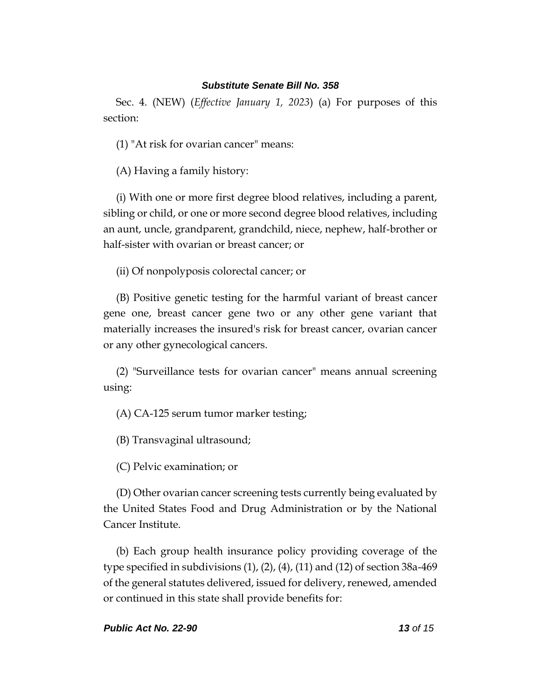Sec. 4. (NEW) (*Effective January 1, 2023*) (a) For purposes of this section:

(1) "At risk for ovarian cancer" means:

(A) Having a family history:

(i) With one or more first degree blood relatives, including a parent, sibling or child, or one or more second degree blood relatives, including an aunt, uncle, grandparent, grandchild, niece, nephew, half-brother or half-sister with ovarian or breast cancer; or

(ii) Of nonpolyposis colorectal cancer; or

(B) Positive genetic testing for the harmful variant of breast cancer gene one, breast cancer gene two or any other gene variant that materially increases the insured's risk for breast cancer, ovarian cancer or any other gynecological cancers.

(2) "Surveillance tests for ovarian cancer" means annual screening using:

(A) CA-125 serum tumor marker testing;

(B) Transvaginal ultrasound;

(C) Pelvic examination; or

(D) Other ovarian cancer screening tests currently being evaluated by the United States Food and Drug Administration or by the National Cancer Institute.

(b) Each group health insurance policy providing coverage of the type specified in subdivisions (1), (2), (4), (11) and (12) of section 38a-469 of the general statutes delivered, issued for delivery, renewed, amended or continued in this state shall provide benefits for: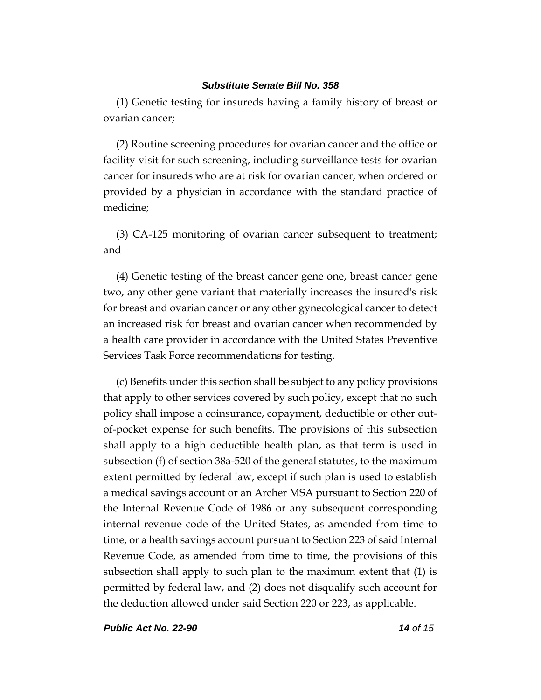(1) Genetic testing for insureds having a family history of breast or ovarian cancer;

(2) Routine screening procedures for ovarian cancer and the office or facility visit for such screening, including surveillance tests for ovarian cancer for insureds who are at risk for ovarian cancer, when ordered or provided by a physician in accordance with the standard practice of medicine;

(3) CA-125 monitoring of ovarian cancer subsequent to treatment; and

(4) Genetic testing of the breast cancer gene one, breast cancer gene two, any other gene variant that materially increases the insured's risk for breast and ovarian cancer or any other gynecological cancer to detect an increased risk for breast and ovarian cancer when recommended by a health care provider in accordance with the United States Preventive Services Task Force recommendations for testing.

(c) Benefits under this section shall be subject to any policy provisions that apply to other services covered by such policy, except that no such policy shall impose a coinsurance, copayment, deductible or other outof-pocket expense for such benefits. The provisions of this subsection shall apply to a high deductible health plan, as that term is used in subsection (f) of section 38a-520 of the general statutes, to the maximum extent permitted by federal law, except if such plan is used to establish a medical savings account or an Archer MSA pursuant to Section 220 of the Internal Revenue Code of 1986 or any subsequent corresponding internal revenue code of the United States, as amended from time to time, or a health savings account pursuant to Section 223 of said Internal Revenue Code, as amended from time to time, the provisions of this subsection shall apply to such plan to the maximum extent that (1) is permitted by federal law, and (2) does not disqualify such account for the deduction allowed under said Section 220 or 223, as applicable.

*Public Act No. 22-90 14 of 15*